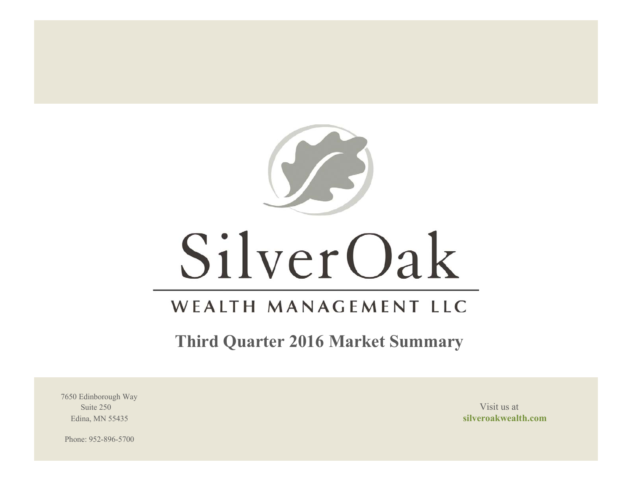

# SilverOak

# WEALTH MANAGEMENT LLC

**Third Quarter 2016 Market Summary**

7650 Edinborough Way Suite 250 Visit us at the set of the set of the set of the set of the set of the set of the set of the set of the set of the set of the set of the set of the set of the set of the set of the set of the set of the set of th

Edina, MN 55435 **silveroakwealth.com**

Phone: 952-896-5700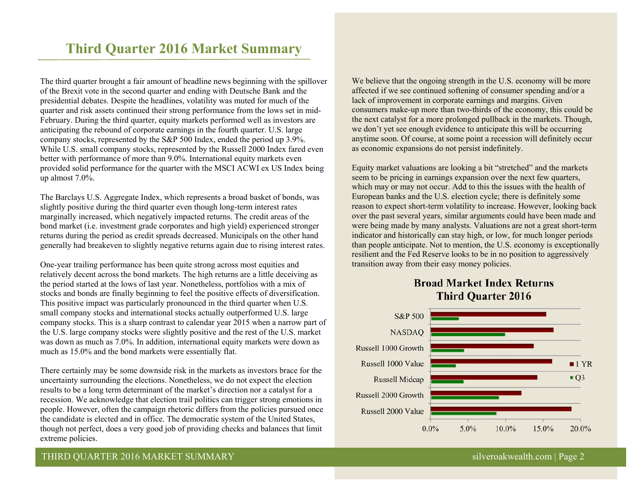# **Third Quarter 2016 Market Summary**

The third quarter brought a fair amount of headline news beginning with the spillover of the Brexit vote in the second quarter and ending with Deutsche Bank and the presidential debates. Despite the headlines, volatility was muted for much of the quarter and risk assets continued their strong performance from the lows set in mid-February. During the third quarter, equity markets performed well as investors are anticipating the rebound of corporate earnings in the fourth quarter. U.S. large company stocks, represented by the S&P 500 Index, ended the period up 3.9%. While U.S. small company stocks, represented by the Russell 2000 Index fared even better with performance of more than 9.0%. International equity markets even provided solid performance for the quarter with the MSCI ACWI ex US Index being up almost 7.0%.

The Barclays U.S. Aggregate Index, which represents a broad basket of bonds, was slightly positive during the third quarter even though long-term interest rates marginally increased, which negatively impacted returns. The credit areas of the bond market (i.e. investment grade corporates and high yield) experienced stronger returns during the period as credit spreads decreased. Municipals on the other hand generally had breakeven to slightly negative returns again due to rising interest rates.

One-year trailing performance has been quite strong across most equities and relatively decent across the bond markets. The high returns are a little deceiving as the period started at the lows of last year. Nonetheless, portfolios with a mix of stocks and bonds are finally beginning to feel the positive effects of diversification. This positive impact was particularly pronounced in the third quarter when U.S. small company stocks and international stocks actually outperformed U.S. large company stocks. This is a sharp contrast to calendar year 2015 when a narrow part of the U.S. large company stocks were slightly positive and the rest of the U.S. market was down as much as 7.0%. In addition, international equity markets were down as much as 15.0% and the bond markets were essentially flat.

There certainly may be some downside risk in the markets as investors brace for the uncertainty surrounding the elections. Nonetheless, we do not expect the election results to be a long term determinant of the market's direction nor a catalyst for a recession. We acknowledge that election trail politics can trigger strong emotions in people. However, often the campaign rhetoric differs from the policies pursued once the candidate is elected and in office. The democratic system of the United States, though not perfect, does a very good job of providing checks and balances that limit extreme policies.

We believe that the ongoing strength in the U.S. economy will be more affected if we see continued softening of consumer spending and/or a lack of improvement in corporate earnings and margins. Given consumers make-up more than two-thirds of the economy, this could be the next catalyst for a more prolonged pullback in the markets. Though, we don't yet see enough evidence to anticipate this will be occurring anytime soon. Of course, at some point a recession will definitely occur as economic expansions do not persist indefinitely.

Equity market valuations are looking a bit "stretched" and the markets seem to be pricing in earnings expansion over the next few quarters, which may or may not occur. Add to this the issues with the health of European banks and the U.S. election cycle; there is definitely some reason to expect short-term volatility to increase. However, looking back over the past several years, similar arguments could have been made and were being made by many analysts. Valuations are not a great short-term indicator and historically can stay high, or low, for much longer periods than people anticipate. Not to mention, the U.S. economy is exceptionally resilient and the Fed Reserve looks to be in no position to aggressively transition away from their easy money policies.

# **Broad Market Index Returns Third Quarter 2016**



# THIRD QUARTER 2016 MARKET SUMMARY SILVER AND SILVER SILVER SILVER SILVER SILVER SILVER SILVER SILVER SILVER SILVER SILVER SILVER SILVER SILVER SILVER SILVER SILVER SILVER SILVER SILVER SILVER SILVER SILVER SILVER SILVER SI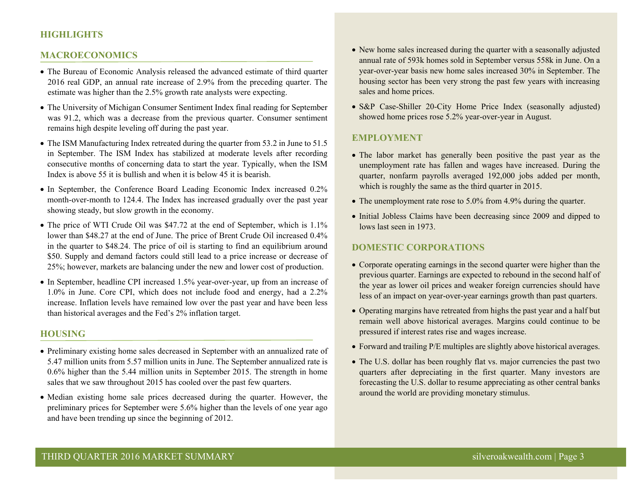# **HIGHLIGHTS**

#### **MACROECONOMICS**

- The Bureau of Economic Analysis released the advanced estimate of third quarter 2016 real GDP, an annual rate increase of 2.9% from the preceding quarter. The estimate was higher than the 2.5% growth rate analysts were expecting.
- The University of Michigan Consumer Sentiment Index final reading for September was 91.2, which was a decrease from the previous quarter. Consumer sentiment remains high despite leveling off during the past year.
- The ISM Manufacturing Index retreated during the quarter from 53.2 in June to 51.5 in September. The ISM Index has stabilized at moderate levels after recording consecutive months of concerning data to start the year. Typically, when the ISM Index is above 55 it is bullish and when it is below 45 it is bearish.
- In September, the Conference Board Leading Economic Index increased 0.2% month-over-month to 124.4. The Index has increased gradually over the past year showing steady, but slow growth in the economy.
- The price of WTI Crude Oil was \$47.72 at the end of September, which is 1.1% lower than \$48.27 at the end of June. The price of Brent Crude Oil increased 0.4% in the quarter to \$48.24. The price of oil is starting to find an equilibrium around \$50. Supply and demand factors could still lead to a price increase or decrease of 25%; however, markets are balancing under the new and lower cost of production.
- In September, headline CPI increased 1.5% year-over-year, up from an increase of 1.0% in June. Core CPI, which does not include food and energy, had a 2.2% increase. Inflation levels have remained low over the past year and have been less than historical averages and the Fed's 2% inflation target.

#### **HOUSING**

- Preliminary existing home sales decreased in September with an annualized rate of 5.47 million units from 5.57 million units in June. The September annualized rate is 0.6% higher than the 5.44 million units in September 2015. The strength in home sales that we saw throughout 2015 has cooled over the past few quarters.
- Median existing home sale prices decreased during the quarter. However, the preliminary prices for September were 5.6% higher than the levels of one year ago and have been trending up since the beginning of 2012.
- New home sales increased during the quarter with a seasonally adjusted annual rate of 593k homes sold in September versus 558k in June. On a year-over-year basis new home sales increased 30% in September. The housing sector has been very strong the past few years with increasing sales and home prices.
- S&P Case-Shiller 20-City Home Price Index (seasonally adjusted) showed home prices rose 5.2% year-over-year in August.

#### **EMPLOYMENT**

- The labor market has generally been positive the past year as the unemployment rate has fallen and wages have increased. During the quarter, nonfarm payrolls averaged 192,000 jobs added per month, which is roughly the same as the third quarter in 2015.
- The unemployment rate rose to 5.0% from 4.9% during the quarter.
- Initial Jobless Claims have been decreasing since 2009 and dipped to lows last seen in 1973.

### **DOMESTIC CORPORATIONS**

- Corporate operating earnings in the second quarter were higher than the previous quarter. Earnings are expected to rebound in the second half of the year as lower oil prices and weaker foreign currencies should have less of an impact on year-over-year earnings growth than past quarters.
- Operating margins have retreated from highs the past year and a half but remain well above historical averages. Margins could continue to be pressured if interest rates rise and wages increase.
- Forward and trailing P/E multiples are slightly above historical averages.
- The U.S. dollar has been roughly flat vs. major currencies the past two quarters after depreciating in the first quarter. Many investors are forecasting the U.S. dollar to resume appreciating as other central banks around the world are providing monetary stimulus.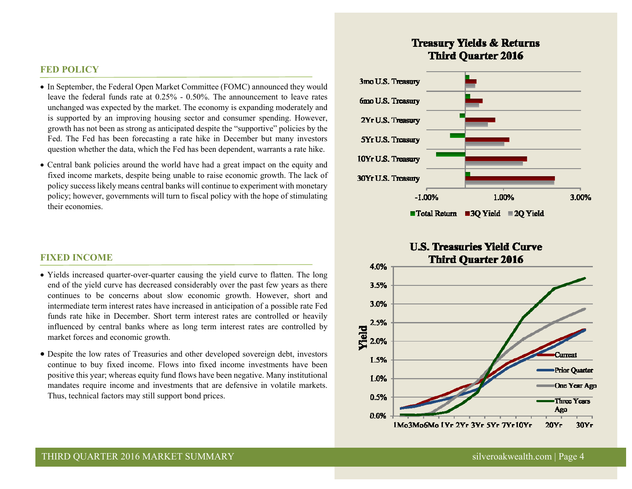#### **FED POLICY**

- In September, the Federal Open Market Committee (FOMC) announced they would leave the federal funds rate at 0.25% - 0.50%. The announcement to leave rates unchanged was expected by the market. The economy is expanding moderately and is supported by an improving housing sector and consumer spending. However, growth has not been as strong as anticipated despite the "supportive" policies by the Fed. The Fed has been forecasting a rate hike in December but many investors question whether the data, which the Fed has been dependent, warrants a rate hike.
- Central bank policies around the world have had a great impact on the equity and fixed income markets, despite being unable to raise economic growth. The lack of policy success likely means central banks will continue to experiment with monetary policy; however, governments will turn to fiscal policy with the hope of stimulating their economies.

#### **FIXED INCOME**

- Yields increased quarter-over-quarter causing the yield curve to flatten. The long end of the yield curve has decreased considerably over the past few years as there continues to be concerns about slow economic growth. However, short and intermediate term interest rates have increased in anticipation of a possible rate Fed funds rate hike in December. Short term interest rates are controlled or heavily influenced by central banks where as long term interest rates are controlled by market forces and economic growth.
- Despite the low rates of Treasuries and other developed sovereign debt, investors continue to buy fixed income. Flows into fixed income investments have been positive this year; whereas equity fund flows have been negative. Many institutional mandates require income and investments that are defensive in volatile markets. Thus, technical factors may still support bond prices.

# **Treasury Yields & Returns Third Ouarter 2016**



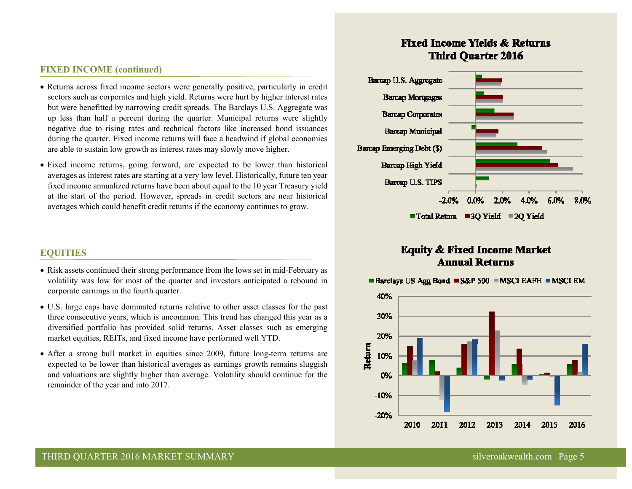### **FIXED INCOME (continued)**

- Returns across fixed income sectors were generally positive, particularly in credit sectors such as corporates and high yield. Returns were hurt by higher interest rates but were benefitted by narrowing credit spreads. The Barclays U.S. Aggregate was up less than half a percent during the quarter. Municipal returns were slightly negative due to rising rates and technical factors like increased bond issuances during the quarter. Fixed income returns will face a headwind if global economies are able to sustain low growth as interest rates may slowly move higher.
- Fixed income returns, going forward, are expected to be lower than historical averages as interest rates are starting at a very low level. Historically, future ten year fixed income annualized returns have been about equal to the 10 year Treasury yield at the start of the period. However, spreads in credit sectors are near historical averages which could benefit credit returns if the economy continues to grow.

# **EQUITIES**

- Risk assets continued their strong performance from the lows set in mid-February as volatility was low for most of the quarter and investors anticipated a rebound in corporate earnings in the fourth quarter.
- U.S. large caps have dominated returns relative to other asset classes for the past three consecutive years, which is uncommon. This trend has changed this year as a diversified portfolio has provided solid returns. Asset classes such as emerging market equities, REITs, and fixed income have performed well YTD.
- After a strong bull market in equities since 2009, future long-term returns are expected to be lower than historical averages as earnings growth remains sluggish and valuations are slightly higher than average. Volatility should continue for the remainder of the year and into 2017.

# **Fixed Income Yields & Returns Third Ouarter 2016**



# **Equity & Fixed Income Market Annual Returns**

■ Barclays US Agg Bond ■ S&P 500 ■ MSCI EAFE ■ MSCI EM

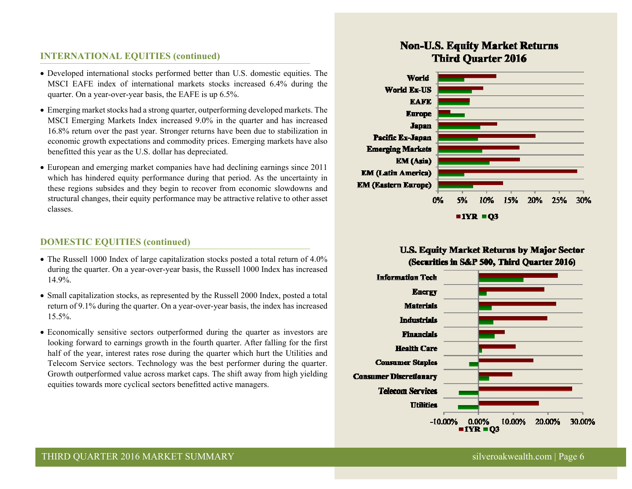# **INTERNATIONAL EQUITIES (continued)**

- Developed international stocks performed better than U.S. domestic equities. The MSCI EAFE index of international markets stocks increased 6.4% during the quarter. On a year-over-year basis, the EAFE is up 6.5%.
- Emerging market stocks had a strong quarter, outperforming developed markets. The MSCI Emerging Markets Index increased 9.0% in the quarter and has increased 16.8% return over the past year. Stronger returns have been due to stabilization in economic growth expectations and commodity prices. Emerging markets have also benefitted this year as the U.S. dollar has depreciated.
- European and emerging market companies have had declining earnings since 2011 which has hindered equity performance during that period. As the uncertainty in these regions subsides and they begin to recover from economic slowdowns and structural changes, their equity performance may be attractive relative to other asset classes.

## **DOMESTIC EQUITIES (continued)**

- The Russell 1000 Index of large capitalization stocks posted a total return of 4.0% during the quarter. On a year-over-year basis, the Russell 1000 Index has increased 14.9%.
- Small capitalization stocks, as represented by the Russell 2000 Index, posted a total return of 9.1% during the quarter. On a year-over-year basis, the index has increased 15.5%.
- Economically sensitive sectors outperformed during the quarter as investors are looking forward to earnings growth in the fourth quarter. After falling for the first half of the year, interest rates rose during the quarter which hurt the Utilities and Telecom Service sectors. Technology was the best performer during the quarter. Growth outperformed value across market caps. The shift away from high yielding equities towards more cyclical sectors benefitted active managers.

# **Non-U.S. Equity Market Returns Third Ouarter 2016**



# **U.S. Equity Market Returns by Major Sector** (Securities in S&P 500, Third Quarter 2016)